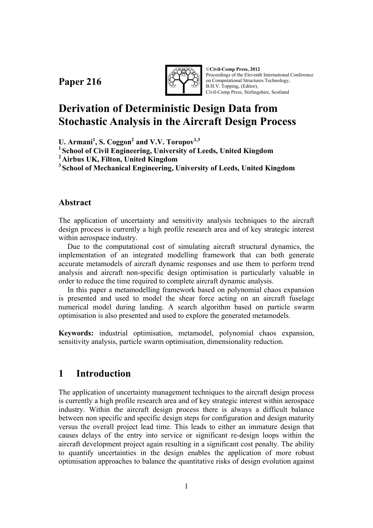**Paper 216** 



©**Civil-Comp Press, 2012**  Proceedings of the Eleventh International Conference on Computational Structures Technology, B.H.V. Topping, (Editor), Civil-Comp Press, Stirlingshire, Scotland

# **Derivation of Deterministic Design Data from Stochastic Analysis in the Aircraft Design Process**

**U. Armani<sup>1</sup> , S. Coggon<sup>2</sup> and V.V. Toropov1,3**

**1 School of Civil Engineering, University of Leeds, United Kingdom** 

**2 Airbus UK, Filton, United Kingdom** 

**3 School of Mechanical Engineering, University of Leeds, United Kingdom** 

## **Abstract**

The application of uncertainty and sensitivity analysis techniques to the aircraft design process is currently a high profile research area and of key strategic interest within aerospace industry.

Due to the computational cost of simulating aircraft structural dynamics, the implementation of an integrated modelling framework that can both generate accurate metamodels of aircraft dynamic responses and use them to perform trend analysis and aircraft non-specific design optimisation is particularly valuable in order to reduce the time required to complete aircraft dynamic analysis.

In this paper a metamodelling framework based on polynomial chaos expansion is presented and used to model the shear force acting on an aircraft fuselage numerical model during landing. A search algorithm based on particle swarm optimisation is also presented and used to explore the generated metamodels.

**Keywords:** industrial optimisation, metamodel, polynomial chaos expansion, sensitivity analysis, particle swarm optimisation, dimensionality reduction.

## **1 Introduction**

The application of uncertainty management techniques to the aircraft design process is currently a high profile research area and of key strategic interest within aerospace industry. Within the aircraft design process there is always a difficult balance between non specific and specific design steps for configuration and design maturity versus the overall project lead time. This leads to either an immature design that causes delays of the entry into service or significant re-design loops within the aircraft development project again resulting in a significant cost penalty. The ability to quantify uncertainties in the design enables the application of more robust optimisation approaches to balance the quantitative risks of design evolution against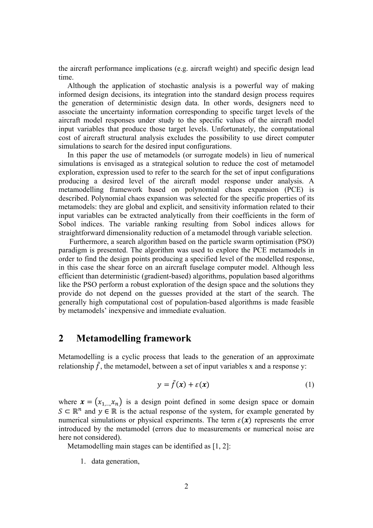the aircraft performance implications (e.g. aircraft weight) and specific design lead time.

Although the application of stochastic analysis is a powerful way of making informed design decisions, its integration into the standard design process requires the generation of deterministic design data. In other words, designers need to associate the uncertainty information corresponding to specific target levels of the aircraft model responses under study to the specific values of the aircraft model input variables that produce those target levels. Unfortunately, the computational cost of aircraft structural analysis excludes the possibility to use direct computer simulations to search for the desired input configurations.

In this paper the use of metamodels (or surrogate models) in lieu of numerical simulations is envisaged as a strategical solution to reduce the cost of metamodel exploration, expression used to refer to the search for the set of input configurations producing a desired level of the aircraft model response under analysis. A metamodelling framework based on polynomial chaos expansion (PCE) is described. Polynomial chaos expansion was selected for the specific properties of its metamodels: they are global and explicit, and sensitivity information related to their input variables can be extracted analytically from their coefficients in the form of Sobol indices. The variable ranking resulting from Sobol indices allows for straightforward dimensionality reduction of a metamodel through variable selection.

 Furthermore, a search algorithm based on the particle swarm optimisation (PSO) paradigm is presented. The algorithm was used to explore the PCE metamodels in order to find the design points producing a specified level of the modelled response, in this case the shear force on an aircraft fuselage computer model. Although less efficient than deterministic (gradient-based) algorithms, population based algorithms like the PSO perform a robust exploration of the design space and the solutions they provide do not depend on the guesses provided at the start of the search. The generally high computational cost of population-based algorithms is made feasible by metamodels' inexpensive and immediate evaluation.

## **2 Metamodelling framework**

Metamodelling is a cyclic process that leads to the generation of an approximate relationship  $\tilde{f}$ , the metamodel, between a set of input variables x and a response y:

$$
y = \tilde{f}(x) + \varepsilon(x) \tag{1}
$$

where  $\mathbf{x} = (x_{1,\dots},x_n)$  is a design point defined in some design space or domain  $S \subset \mathbb{R}^n$  and  $y \in \mathbb{R}$  is the actual response of the system, for example generated by numerical simulations or physical experiments. The term  $\varepsilon(x)$  represents the error introduced by the metamodel (errors due to measurements or numerical noise are here not considered).

Metamodelling main stages can be identified as [1, 2]:

1. data generation,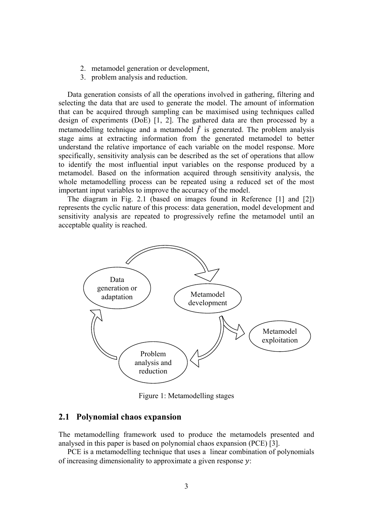- 2. metamodel generation or development,
- 3. problem analysis and reduction.

Data generation consists of all the operations involved in gathering, filtering and selecting the data that are used to generate the model. The amount of information that can be acquired through sampling can be maximised using techniques called design of experiments (DoE) [1, 2]. The gathered data are then processed by a metamodelling technique and a metamodel  $\tilde{f}$  is generated. The problem analysis stage aims at extracting information from the generated metamodel to better understand the relative importance of each variable on the model response. More specifically, sensitivity analysis can be described as the set of operations that allow to identify the most influential input variables on the response produced by a metamodel. Based on the information acquired through sensitivity analysis, the whole metamodelling process can be repeated using a reduced set of the most important input variables to improve the accuracy of the model.

The diagram in Fig. 2.1 (based on images found in Reference [1] and [2]) represents the cyclic nature of this process: data generation, model development and sensitivity analysis are repeated to progressively refine the metamodel until an acceptable quality is reached.



Figure 1: Metamodelling stages

#### **2.1 Polynomial chaos expansion**

The metamodelling framework used to produce the metamodels presented and analysed in this paper is based on polynomial chaos expansion (PCE) [3].

PCE is a metamodelling technique that uses a linear combination of polynomials of increasing dimensionality to approximate a given response  $v$ :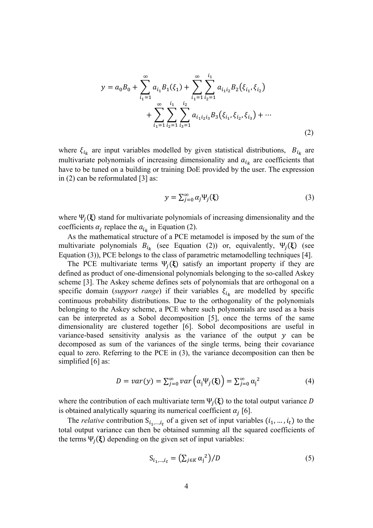$$
y = a_0 B_0 + \sum_{i_1=1}^{\infty} a_{i_1} B_1(\xi_1) + \sum_{i_1=1}^{\infty} \sum_{i_2=1}^{i_1} a_{i_1 i_2} B_2(\xi_{i_1}, \xi_{i_2})
$$
  
+ 
$$
\sum_{i_1=1}^{\infty} \sum_{i_2=1}^{i_1} \sum_{i_3=1}^{i_2} a_{i_1 i_2 i_3} B_3(\xi_{i_1}, \xi_{i_2}, \xi_{i_3}) + \cdots
$$
(2)

where  $\xi_{i_k}$  are input variables modelled by given statistical distributions,  $B_{i_k}$  are multivariate polynomials of increasing dimensionality and  $a_{i_k}$  are coefficients that have to be tuned on a building or training DoE provided by the user. The expression in (2) can be reformulated [3] as:

$$
y = \sum_{j=0}^{\infty} \alpha_j \Psi_j(\xi)
$$
 (3)

where  $\Psi_j(\xi)$  stand for multivariate polynomials of increasing dimensionality and the coefficients  $\alpha_j$  replace the  $a_{i_k}$  in Equation (2).

As the mathematical structure of a PCE metamodel is imposed by the sum of the multivariate polynomials  $B_{i_k}$  (see Equation (2)) or, equivalently,  $\Psi_j(\xi)$  (see Equation (3)), PCE belongs to the class of parametric metamodelling techniques [4].

The PCE multivariate terms  $\Psi_i(\xi)$  satisfy an important property if they are defined as product of one-dimensional polynomials belonging to the so-called Askey scheme [3]. The Askey scheme defines sets of polynomials that are orthogonal on a specific domain (*support range*) if their variables  $\xi_{i_k}$  are modelled by specific continuous probability distributions. Due to the orthogonality of the polynomials belonging to the Askey scheme, a PCE where such polynomials are used as a basis can be interpreted as a Sobol decomposition [5], once the terms of the same dimensionality are clustered together [6]. Sobol decompositions are useful in variance-based sensitivity analysis as the variance of the output  $y$  can be decomposed as sum of the variances of the single terms, being their covariance equal to zero. Referring to the PCE in (3), the variance decomposition can then be simplified [6] as:

$$
D = var(y) = \sum_{j=0}^{\infty} var\left(\alpha_j \Psi_j(\xi)\right) = \sum_{j=0}^{\infty} \alpha_j^2
$$
 (4)

where the contribution of each multivariate term  $\Psi_i(\xi)$  to the total output variance D is obtained analytically squaring its numerical coefficient  $\alpha_i$  [6].

The *relative* contribution  $S_{i_1,\dots,i_t}$  of a given set of input variables  $(i_1,\dots,i_t)$  to the total output variance can then be obtained summing all the squared coefficients of the terms  $\Psi_i(\xi)$  depending on the given set of input variables:

$$
S_{i_1,\dots,i_t} = \left(\sum_{j \in K} \alpha_j^2\right) / D \tag{5}
$$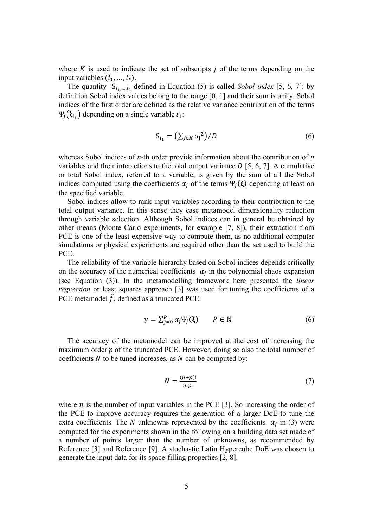where  $K$  is used to indicate the set of subscripts  $j$  of the terms depending on the input variables  $(i_1, ..., i_t)$ .

The quantity  $S_{i_1,\dots,i_t}$  defined in Equation (5) is called *Sobol index* [5, 6, 7]: by definition Sobol index values belong to the range [0, 1] and their sum is unity. Sobol indices of the first order are defined as the relative variance contribution of the terms Ψ<sub> $j$ </sub>(ξ<sub>i<sub>1</sub>)</sub> depending on a single variable  $i_1$ :

$$
S_{i_1} = \left(\sum_{j \in K} \alpha_j^2\right) / D \tag{6}
$$

whereas Sobol indices of *n*-th order provide information about the contribution of *n* variables and their interactions to the total output variance  $D$  [5, 6, 7]. A cumulative or total Sobol index, referred to a variable, is given by the sum of all the Sobol indices computed using the coefficients  $\alpha_i$  of the terms  $\Psi_i(\xi)$  depending at least on the specified variable.

Sobol indices allow to rank input variables according to their contribution to the total output variance. In this sense they ease metamodel dimensionality reduction through variable selection. Although Sobol indices can in general be obtained by other means (Monte Carlo experiments, for example [7, 8]), their extraction from PCE is one of the least expensive way to compute them, as no additional computer simulations or physical experiments are required other than the set used to build the PCE.

The reliability of the variable hierarchy based on Sobol indices depends critically on the accuracy of the numerical coefficients  $\alpha_i$  in the polynomial chaos expansion (see Equation (3)). In the metamodelling framework here presented the *linear regression* or least squares approach [3] was used for tuning the coefficients of a PCE metamodel  $\tilde{f}$ , defined as a truncated PCE:

$$
y = \sum_{j=0}^{P} \alpha_j \Psi_j(\xi) \qquad P \in \mathbb{N}
$$
 (6)

The accuracy of the metamodel can be improved at the cost of increasing the maximum order  $p$  of the truncated PCE. However, doing so also the total number of coefficients  *to be tuned increases, as*  $*N*$  *can be computed by:* 

$$
N = \frac{(n+p)!}{n!p!} \tag{7}
$$

where  $n$  is the number of input variables in the PCE [3]. So increasing the order of the PCE to improve accuracy requires the generation of a larger DoE to tune the extra coefficients. The N unknowns represented by the coefficients  $\alpha_i$  in (3) were computed for the experiments shown in the following on a building data set made of a number of points larger than the number of unknowns, as recommended by Reference [3] and Reference [9]. A stochastic Latin Hypercube DoE was chosen to generate the input data for its space-filling properties [2, 8].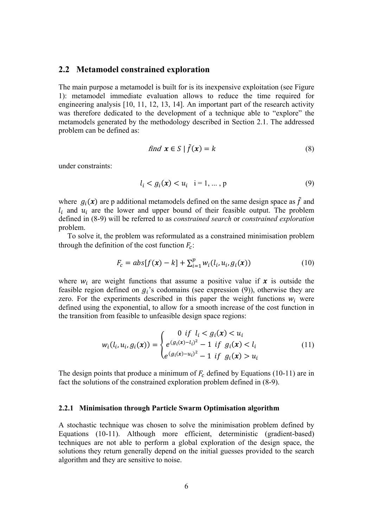#### **2.2 Metamodel constrained exploration**

The main purpose a metamodel is built for is its inexpensive exploitation (see Figure 1): metamodel immediate evaluation allows to reduce the time required for engineering analysis [10, 11, 12, 13, 14]. An important part of the research activity was therefore dedicated to the development of a technique able to "explore" the metamodels generated by the methodology described in Section 2.1. The addressed problem can be defined as:

find 
$$
\mathbf{x} \in S \mid \tilde{f}(\mathbf{x}) = k
$$
 (8)

under constraints:

$$
l_i < g_i(x) < u_i \quad i = 1, \dots, p \tag{9}
$$

where  $g_i(x)$  are p additional metamodels defined on the same design space as  $\tilde{f}$  and  $l_i$  and  $u_i$  are the lower and upper bound of their feasible output. The problem defined in (8-9) will be referred to as *constrained search* or *constrained exploration*  problem.

To solve it, the problem was reformulated as a constrained minimisation problem through the definition of the cost function  $F_c$ :

$$
F_c = abs[f(x) - k] + \sum_{i=1}^{p} w_i(l_i, u_i, g_i(x))
$$
\n(10)

where  $w_i$  are weight functions that assume a positive value if  $x$  is outside the feasible region defined on  $g_i$ 's codomains (see expression (9)), otherwise they are zero. For the experiments described in this paper the weight functions  $w_i$  were defined using the exponential, to allow for a smooth increase of the cost function in the transition from feasible to unfeasible design space regions:

$$
w_i(l_i, u_i, g_i(\mathbf{x})) = \begin{cases} 0 & \text{if } l_i < g_i(\mathbf{x}) < u_i \\ e^{(g_i(\mathbf{x}) - l_i)^2} - 1 & \text{if } g_i(\mathbf{x}) < l_i \\ e^{(g_i(\mathbf{x}) - u_i)^2} - 1 & \text{if } g_i(\mathbf{x}) > u_i \end{cases} \tag{11}
$$

The design points that produce a minimum of  $F_c$  defined by Equations (10-11) are in fact the solutions of the constrained exploration problem defined in (8-9).

#### **2.2.1 Minimisation through Particle Swarm Optimisation algorithm**

A stochastic technique was chosen to solve the minimisation problem defined by Equations (10-11). Although more efficient, deterministic (gradient-based) techniques are not able to perform a global exploration of the design space, the solutions they return generally depend on the initial guesses provided to the search algorithm and they are sensitive to noise.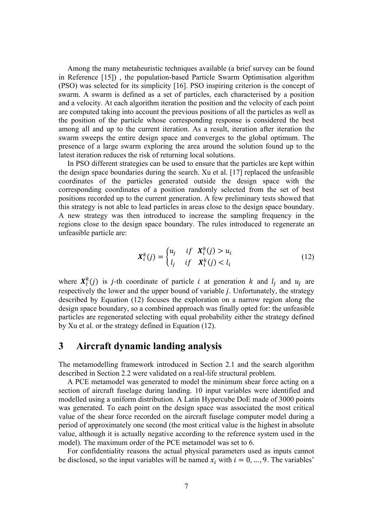Among the many metaheuristic techniques available (a brief survey can be found in Reference [15]) , the population-based Particle Swarm Optimisation algorithm (PSO) was selected for its simplicity [16]. PSO inspiring criterion is the concept of swarm. A swarm is defined as a set of particles, each characterised by a position and a velocity. At each algorithm iteration the position and the velocity of each point are computed taking into account the previous positions of all the particles as well as the position of the particle whose corresponding response is considered the best among all and up to the current iteration. As a result, iteration after iteration the swarm sweeps the entire design space and converges to the global optimum. The presence of a large swarm exploring the area around the solution found up to the latest iteration reduces the risk of returning local solutions.

In PSO different strategies can be used to ensure that the particles are kept within the design space boundaries during the search. Xu et al. [17] replaced the unfeasible coordinates of the particles generated outside the design space with the corresponding coordinates of a position randomly selected from the set of best positions recorded up to the current generation. A few preliminary tests showed that this strategy is not able to lead particles in areas close to the design space boundary. A new strategy was then introduced to increase the sampling frequency in the regions close to the design space boundary. The rules introduced to regenerate an unfeasible particle are:

$$
\mathbf{X}_i^k(j) = \begin{cases} u_j & \text{if} \quad \mathbf{X}_i^k(j) > u_i \\ l_j & \text{if} \quad \mathbf{X}_i^k(j) < l_i \end{cases} \tag{12}
$$

where  $X_i^k(j)$  is *j*-th coordinate of particle *i* at generation *k* and  $l_j$  and  $u_j$  are respectively the lower and the upper bound of variable *j*. Unfortunately, the strategy described by Equation (12) focuses the exploration on a narrow region along the design space boundary, so a combined approach was finally opted for: the unfeasible particles are regenerated selecting with equal probability either the strategy defined by Xu et al. or the strategy defined in Equation (12).

### **3 Aircraft dynamic landing analysis**

The metamodelling framework introduced in Section 2.1 and the search algorithm described in Section 2.2 were validated on a real-life structural problem.

A PCE metamodel was generated to model the minimum shear force acting on a section of aircraft fuselage during landing. 10 input variables were identified and modelled using a uniform distribution. A Latin Hypercube DoE made of 3000 points was generated. To each point on the design space was associated the most critical value of the shear force recorded on the aircraft fuselage computer model during a period of approximately one second (the most critical value is the highest in absolute value, although it is actually negative according to the reference system used in the model). The maximum order of the PCE metamodel was set to 6.

For confidentiality reasons the actual physical parameters used as inputs cannot be disclosed, so the input variables will be named  $x_i$  with  $i = 0, ..., 9$ . The variables'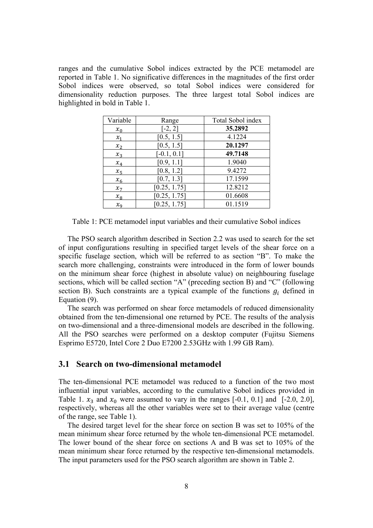ranges and the cumulative Sobol indices extracted by the PCE metamodel are reported in Table 1. No significative differences in the magnitudes of the first order Sobol indices were observed, so total Sobol indices were considered for dimensionality reduction purposes. The three largest total Sobol indices are highlighted in bold in Table 1.

| Variable | Range         | Total Sobol index |
|----------|---------------|-------------------|
| $x_0$    | $[-2, 2]$     | 35.2892           |
| $x_1$    | [0.5, 1.5]    | 4.1224            |
| $x_2$    | [0.5, 1.5]    | 20.1297           |
| $x_3$    | $[-0.1, 0.1]$ | 49.7148           |
| $x_4$    | [0.9, 1.1]    | 1.9040            |
| $x_{5}$  | [0.8, 1.2]    | 9.4272            |
| $x_6$    | [0.7, 1.3]    | 17.1599           |
| $x_7$    | [0.25, 1.75]  | 12.8212           |
| $x_8$    | [0.25, 1.75]  | 01.6608           |
| $x_{9}$  | [0.25, 1.75]  | 01.1519           |

Table 1: PCE metamodel input variables and their cumulative Sobol indices

The PSO search algorithm described in Section 2.2 was used to search for the set of input configurations resulting in specified target levels of the shear force on a specific fuselage section, which will be referred to as section "B". To make the search more challenging, constraints were introduced in the form of lower bounds on the minimum shear force (highest in absolute value) on neighbouring fuselage sections, which will be called section "A" (preceding section B) and "C" (following section B). Such constraints are a typical example of the functions  $g_i$  defined in Equation (9).

The search was performed on shear force metamodels of reduced dimensionality obtained from the ten-dimensional one returned by PCE. The results of the analysis on two-dimensional and a three-dimensional models are described in the following. All the PSO searches were performed on a desktop computer (Fujitsu Siemens Esprimo E5720, Intel Core 2 Duo E7200 2.53GHz with 1.99 GB Ram).

#### **3.1 Search on two-dimensional metamodel**

The ten-dimensional PCE metamodel was reduced to a function of the two most influential input variables, according to the cumulative Sobol indices provided in Table 1.  $x_3$  and  $x_0$  were assumed to vary in the ranges [-0.1, 0.1] and [-2.0, 2.0], respectively, whereas all the other variables were set to their average value (centre of the range, see Table 1).

The desired target level for the shear force on section B was set to 105% of the mean minimum shear force returned by the whole ten-dimensional PCE metamodel. The lower bound of the shear force on sections A and B was set to 105% of the mean minimum shear force returned by the respective ten-dimensional metamodels. The input parameters used for the PSO search algorithm are shown in Table 2.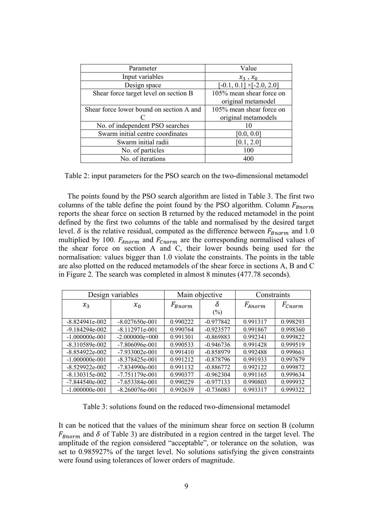| Parameter                                | Value                            |  |  |
|------------------------------------------|----------------------------------|--|--|
| Input variables                          | $x_3, x_0$                       |  |  |
| Design space                             | $[-0.1, 0.1] \times [-2.0, 2.0]$ |  |  |
| Shear force target level on section B    | 105% mean shear force on         |  |  |
|                                          | original metamodel               |  |  |
| Shear force lower bound on section A and | 105% mean shear force on         |  |  |
|                                          | original metamodels              |  |  |
| No. of independent PSO searches          |                                  |  |  |
| Swarm initial centre coordinates         | [0.0, 0.0]                       |  |  |
| Swarm initial radii                      | [0.1, 2.0]                       |  |  |
| No. of particles                         | 100                              |  |  |
| No. of iterations                        | 400                              |  |  |

Table 2: input parameters for the PSO search on the two-dimensional metamodel

The points found by the PSO search algorithm are listed in Table 3. The first two columns of the table define the point found by the PSO algorithm. Column  $F_{\text{Bnorm}}$ reports the shear force on section B returned by the reduced metamodel in the point defined by the first two columns of the table and normalised by the desired target level.  $\delta$  is the relative residual, computed as the difference between  $F_{Bnorm}$  and 1.0 multiplied by 100.  $F_{Anorm}$  and  $F_{Chorm}$  are the corresponding normalised values of the shear force on section A and C, their lower bounds being used for the normalisation: values bigger than 1.0 violate the constraints. The points in the table are also plotted on the reduced metamodels of the shear force in sections A, B and C in Figure 2. The search was completed in almost 8 minutes (477.78 seconds).

| Design variables   |                  | Main objective |                                 | Constraints |                    |
|--------------------|------------------|----------------|---------------------------------|-------------|--------------------|
| $x_3$              | $x_0$            | $F_{Bnorm}$    | δ<br>$\left(\frac{0}{0}\right)$ | $F_{Anorm}$ | $F_{\text{Cnorm}}$ |
| $-8.824941e-002$   | $-8.027650e-001$ | 0.990222       | $-0.977842$                     | 0.991317    | 0.998293           |
| $-9.184294e-002$   | $-8.112971e-001$ | 0.990764       | $-0.923577$                     | 0.991867    | 0.998360           |
| $-1.000000e-001$   | $-2.000000e+000$ | 0.991301       | $-0.869883$                     | 0.992341    | 0.999822           |
| $-8.310589e - 002$ | $-7.806096e-001$ | 0.990533       | $-0.946736$                     | 0.991428    | 0.999519           |
| $-8.854922e-002$   | $-7.933002e-001$ | 0.991410       | $-0.858979$                     | 0.992488    | 0.999661           |
| $-1.000000e-001$   | $-8.378425e-001$ | 0.991212       | $-0.878796$                     | 0.991933    | 0.997679           |
| $-8.529922e-002$   | $-7.834990e-001$ | 0.991132       | $-0.886772$                     | 0.992122    | 0.999872           |
| $-8.130315e-002$   | $-7.751179e-001$ | 0.990377       | $-0.962304$                     | 0.991165    | 0.999634           |
| $-7.844540e-002$   | $-7.653384e-001$ | 0.990229       | $-0.977133$                     | 0.990803    | 0.999932           |
| $-1.000000e-001$   | $-8.260076e-001$ | 0.992639       | $-0.736083$                     | 0.993317    | 0.999322           |

Table 3: solutions found on the reduced two-dimensional metamodel

It can be noticed that the values of the minimum shear force on section B (column  $F_{Bnorm}$  and  $\delta$  of Table 3) are distributed in a region centred in the target level. The amplitude of the region considered "acceptable", or tolerance on the solution, was set to 0.985927% of the target level. No solutions satisfying the given constraints were found using tolerances of lower orders of magnitude.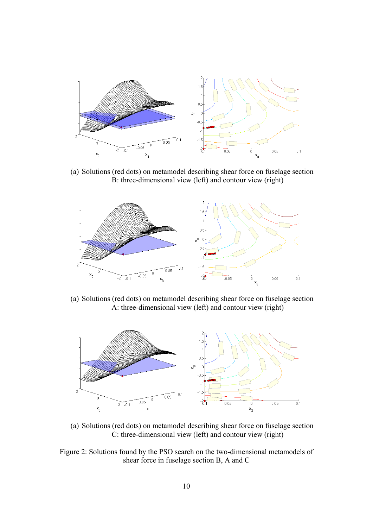

(a) Solutions (red dots) on metamodel describing shear force on fuselage section B: three-dimensional view (left) and contour view (right)



(a) Solutions (red dots) on metamodel describing shear force on fuselage section A: three-dimensional view (left) and contour view (right)



- (a) Solutions (red dots) on metamodel describing shear force on fuselage section C: three-dimensional view (left) and contour view (right)
- Figure 2: Solutions found by the PSO search on the two-dimensional metamodels of shear force in fuselage section B, A and C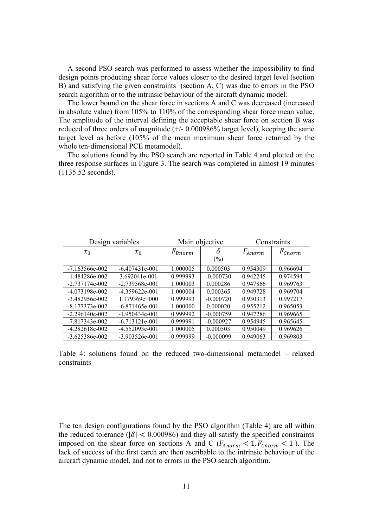A second PSO search was performed to assess whether the impossibility to find design points producing shear force values closer to the desired target level (section B) and satisfying the given constraints (section A, C) was due to errors in the PSO search algorithm or to the intrinsic behaviour of the aircraft dynamic model.

The lower bound on the shear force in sections A and C was decreased (increased in absolute value) from 105% to 110% of the corresponding shear force mean value. The amplitude of the interval defining the acceptable shear force on section B was reduced of three orders of magnitude (+/- 0.000986% target level), keeping the same target level as before (105% of the mean maximum shear force returned by the whole ten-dimensional PCE metamodel).

The solutions found by the PSO search are reported in Table 4 and plotted on the three response surfaces in Figure 3. The search was completed in almost 19 minutes (1135.52 seconds).

| Design variables   |                    | Main objective |             | Constraints |             |
|--------------------|--------------------|----------------|-------------|-------------|-------------|
| $x_3$              | $x_0$              | $F_{Bnorm}$    | δ<br>$(\%)$ | $F_{Anorm}$ | $F_{Cnorm}$ |
| $-7.163566e-002$   | $-6.407431e-001$   | 1.000005       | 0.000503    | 0.954309    | 0.966694    |
| $-1.484286e-002$   | 3.692041e-001      | 0.999993       | $-0.000730$ | 0.942245    | 0.974594    |
| $-2.737174e - 002$ | $-2.739568e - 001$ | 1.000003       | 0.000286    | 0.947866    | 0.969763    |
| $-4.073198e-002$   | $-4.359622e-001$   | 1.000004       | 0.000365    | 0.949728    | 0.969704    |
| $-3.482956e-002$   | $1.179369e+000$    | 0.999993       | $-0.000720$ | 0.930313    | 0.997217    |
| $-8.177373e - 002$ | $-6.871465e-001$   | 1.000000       | 0.000020    | 0.955212    | 0.965053    |
| $-2.296140e-002$   | $-1.950434e-001$   | 0.999992       | $-0.000759$ | 0.947286    | 0.969665    |
| $-7.817343e - 002$ | $-6.713121e-001$   | 0.999991       | $-0.000927$ | 0.954945    | 0.965645    |
| $-4.282618e-002$   | $-4.552093e-001$   | 1.000005       | 0.000503    | 0.950049    | 0.969626    |
| $-3.625386e-002$   | -3.903526e-001     | 0.999999       | $-0.000099$ | 0.949063    | 0.969803    |

Table 4: solutions found on the reduced two-dimensional metamodel – relaxed constraints

The ten design configurations found by the PSO algorithm (Table 4) are all within the reduced tolerance ( $|\delta|$  < 0.000986) and they all satisfy the specified constraints imposed on the shear force on sections A and C ( $F_{Anorm}$  < 1,  $F_{Chorm}$  < 1). The lack of success of the first earch are then ascribable to the intrinsic behaviour of the aircraft dynamic model, and not to errors in the PSO search algorithm.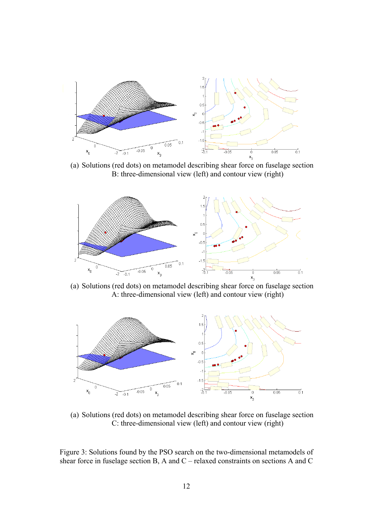

(a) Solutions (red dots) on metamodel describing shear force on fuselage section B: three-dimensional view (left) and contour view (right)



(a) Solutions (red dots) on metamodel describing shear force on fuselage section A: three-dimensional view (left) and contour view (right)



(a) Solutions (red dots) on metamodel describing shear force on fuselage section C: three-dimensional view (left) and contour view (right)

Figure 3: Solutions found by the PSO search on the two-dimensional metamodels of shear force in fuselage section B, A and C – relaxed constraints on sections A and C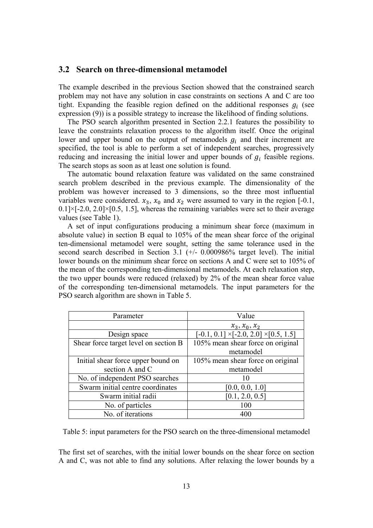#### **3.2 Search on three-dimensional metamodel**

The example described in the previous Section showed that the constrained search problem may not have any solution in case constraints on sections A and C are too tight. Expanding the feasible region defined on the additional responses  $g_i$  (see expression (9)) is a possible strategy to increase the likelihood of finding solutions.

The PSO search algorithm presented in Section 2.2.1 features the possibility to leave the constraints relaxation process to the algorithm itself. Once the original lower and upper bound on the output of metamodels  $g_i$  and their increment are specified, the tool is able to perform a set of independent searches, progressively reducing and increasing the initial lower and upper bounds of  $g_i$  feasible regions. The search stops as soon as at least one solution is found.

The automatic bound relaxation feature was validated on the same constrained search problem described in the previous example. The dimensionality of the problem was however increased to 3 dimensions, so the three most influential variables were considered.  $x_3$ ,  $x_0$  and  $x_2$  were assumed to vary in the region [-0.1,  $0.1$ | $\times$ [-2.0, 2.0] $\times$ [0.5, 1.5], whereas the remaining variables were set to their average values (see Table 1).

A set of input configurations producing a minimum shear force (maximum in absolute value) in section B equal to 105% of the mean shear force of the original ten-dimensional metamodel were sought, setting the same tolerance used in the second search described in Section 3.1 (+/- 0.000986% target level). The initial lower bounds on the minimum shear force on sections A and C were set to 105% of the mean of the corresponding ten-dimensional metamodels. At each relaxation step, the two upper bounds were reduced (relaxed) by 2% of the mean shear force value of the corresponding ten-dimensional metamodels. The input parameters for the PSO search algorithm are shown in Table 5.

| Parameter                             | Value                                              |  |  |
|---------------------------------------|----------------------------------------------------|--|--|
|                                       | $x_3, x_0, x_2$                                    |  |  |
| Design space                          | $[-0.1, 0.1] \times [-2.0, 2.0] \times [0.5, 1.5]$ |  |  |
| Shear force target level on section B | 105% mean shear force on original                  |  |  |
|                                       | metamodel                                          |  |  |
| Initial shear force upper bound on    | 105% mean shear force on original                  |  |  |
| section A and C                       | metamodel                                          |  |  |
| No. of independent PSO searches       | $\mathbf{I}(\mathbf{I})$                           |  |  |
| Swarm initial centre coordinates      | [0.0, 0.0, 1.0]                                    |  |  |
| Swarm initial radii                   | [0.1, 2.0, 0.5]                                    |  |  |
| No. of particles                      | 100                                                |  |  |
| No. of iterations                     | 400                                                |  |  |

Table 5: input parameters for the PSO search on the three-dimensional metamodel

The first set of searches, with the initial lower bounds on the shear force on section A and C, was not able to find any solutions. After relaxing the lower bounds by a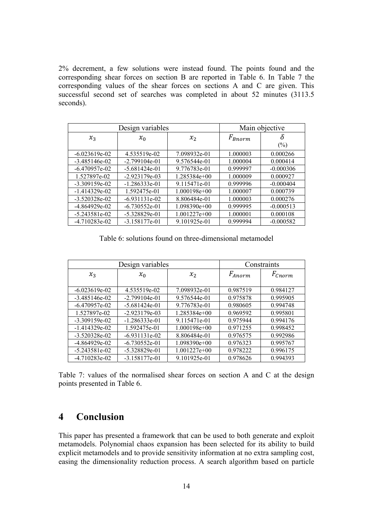2% decrement, a few solutions were instead found. The points found and the corresponding shear forces on section B are reported in Table 6. In Table 7 the corresponding values of the shear forces on sections A and C are given. This successful second set of searches was completed in about 52 minutes (3113.5 seconds).

| Design variables |                 |                | Main objective |             |
|------------------|-----------------|----------------|----------------|-------------|
| $x_3$            | $x_0$           | x <sub>2</sub> | $F_{Bnorm}$    | δ<br>(%)    |
| $-6.023619e-02$  | 4.535519e-02    | 7.098932e-01   | 1.000003       | 0.000266    |
| $-3.485146e-02$  | $-2.799104e-01$ | 9.576544e-01   | 1.000004       | 0.000414    |
| $-6.470957e-02$  | $-5.681424e-01$ | 9.776783e-01   | 0.999997       | $-0.000306$ |
| 1.527897e-02     | $-2.923179e-03$ | 1.285384e+00   | 1.000009       | 0.000927    |
| $-3.309159e-02$  | $-1.286333e-01$ | 9.115471e-01   | 0.999996       | $-0.000404$ |
| $-1.414329e-02$  | 1.592475e-01    | $1.000198e+00$ | 1.000007       | 0.000739    |
| $-3.520328e-02$  | $-6.931131e-02$ | 8.806484e-01   | 1.000003       | 0.000276    |
| $-4.864929e-02$  | $-6.730552e-01$ | $1.098390e+00$ | 0.999995       | $-0.000513$ |
| $-5.243581e-02$  | $-5.328829e-01$ | $1.001227e+00$ | 1.000001       | 0.000108    |
| $-4.710283e-02$  | $-3.158177e-01$ | 9.101925e-01   | 0.999994       | $-0.000582$ |

Table 6: solutions found on three-dimensional metamodel

| Design variables |                 |                | Constraints |             |
|------------------|-----------------|----------------|-------------|-------------|
| $x_3$            | $x_0$           | $x_2$          | $F_{Anorm}$ | $F_{Cnorm}$ |
| $-6.023619e-02$  | 4.535519e-02    | 7.098932e-01   | 0.987519    | 0.984127    |
| $-3.485146e-02$  | $-2.799104e-01$ | 9.576544e-01   | 0.975878    | 0.995905    |
| $-6.470957e-02$  | $-5.681424e-01$ | 9.776783e-01   | 0.980605    | 0.994748    |
| 1.527897e-02     | $-2.923179e-03$ | $1.285384e+00$ | 0.969592    | 0.995801    |
| $-3.309159e-02$  | $-1.286333e-01$ | 9.115471e-01   | 0.975944    | 0.994176    |
| $-1.414329e-02$  | 1.592475e-01    | $1.000198e+00$ | 0.971255    | 0.998452    |
| $-3.520328e-02$  | $-6.931131e-02$ | 8.806484e-01   | 0.976575    | 0.992986    |
| $-4.864929e-02$  | $-6.730552e-01$ | $1.098390e+00$ | 0.976323    | 0.995767    |
| $-5.243581e-02$  | $-5.328829e-01$ | $1.001227e+00$ | 0.978222    | 0.996175    |
| $-4.710283e-02$  | $-3.158177e-01$ | 9.101925e-01   | 0.978626    | 0.994393    |

Table 7: values of the normalised shear forces on section A and C at the design points presented in Table 6.

## **4 Conclusion**

This paper has presented a framework that can be used to both generate and exploit metamodels. Polynomial chaos expansion has been selected for its ability to build explicit metamodels and to provide sensitivity information at no extra sampling cost, easing the dimensionality reduction process. A search algorithm based on particle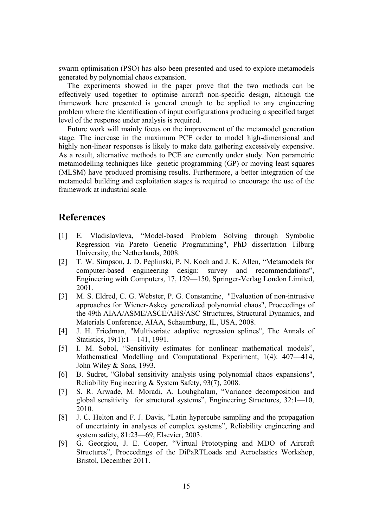swarm optimisation (PSO) has also been presented and used to explore metamodels generated by polynomial chaos expansion.

The experiments showed in the paper prove that the two methods can be effectively used together to optimise aircraft non-specific design, although the framework here presented is general enough to be applied to any engineering problem where the identification of input configurations producing a specified target level of the response under analysis is required.

Future work will mainly focus on the improvement of the metamodel generation stage. The increase in the maximum PCE order to model high-dimensional and highly non-linear responses is likely to make data gathering excessively expensive. As a result, alternative methods to PCE are currently under study. Non parametric metamodelling techniques like genetic programming (GP) or moving least squares (MLSM) have produced promising results. Furthermore, a better integration of the metamodel building and exploitation stages is required to encourage the use of the framework at industrial scale.

## **References**

- [1] E. Vladislavleva, "Model-based Problem Solving through Symbolic Regression via Pareto Genetic Programming", PhD dissertation Tilburg University, the Netherlands, 2008.
- [2] T. W. Simpson, J. D. Peplinski, P. N. Koch and J. K. Allen, "Metamodels for computer-based engineering design: survey and recommendations", Engineering with Computers, 17, 129—150, Springer-Verlag London Limited, 2001.
- [3] M. S. Eldred, C. G. Webster, P. G. Constantine, "Evaluation of non-intrusive approaches for Wiener-Askey generalized polynomial chaos", Proceedings of the 49th AIAA/ASME/ASCE/AHS/ASC Structures, Structural Dynamics, and Materials Conference, AIAA, Schaumburg, IL, USA, 2008.
- [4] J. H. Friedman, "Multivariate adaptive regression splines", The Annals of Statistics, 19(1):1—141, 1991.
- [5] I. M. Sobol, "Sensitivity estimates for nonlinear mathematical models", Mathematical Modelling and Computational Experiment, 1(4): 407—414, John Wiley & Sons, 1993.
- [6] B. Sudret, "Global sensitivity analysis using polynomial chaos expansions", Reliability Engineering & System Safety, 93(7), 2008.
- [7] S. R. Arwade, M. Moradi, A. Louhghalam, "Variance decomposition and global sensitivity for structural systems", Engineering Structures, 32:1—10, 2010.
- [8] J. C. Helton and F. J. Davis, "Latin hypercube sampling and the propagation of uncertainty in analyses of complex systems", Reliability engineering and system safety, 81:23—69, Elsevier, 2003.
- [9] G. Georgiou, J. E. Cooper, "Virtual Prototyping and MDO of Aircraft Structures", Proceedings of the DiPaRTLoads and Aeroelastics Workshop, Bristol, December 2011.